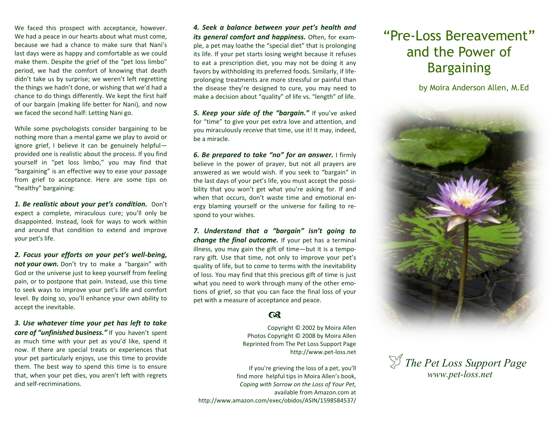We faced this prospect with acceptance, however. We had a peace in our hearts about what must come, because we had a chance to make sure that Nani's last days were as happy and comfortable as we could make them. Despite the grief of the "pet loss limbo" period, we had the comfort of knowing that death didn't take us by surprise; we weren't left regretting the things we hadn't done, or wishing that we'd had a chance to do things differently. We kept the first half of our bargain (making life better for Nani), and now we faced the second half: Letting Nani go.

While some psychologists consider bargaining to be nothing more than a mental game we play to avoid or ignore grief, I believe it can be genuinely helpful provided one is realistic about the process. If you find yourself in "pet loss limbo," you may find that "bargaining" is an effective way to ease your passage from grief to acceptance. Here are some tips on "healthy" bargaining:

*1. Be realistic about your pet's condition.* Don't expect a complete, miraculous cure; you'll only be disappointed. Instead, look for ways to work within and around that condition to extend and improve your pet's life.

*2. Focus your efforts on your pet's well-being, not your own.* Don't try to make a "bargain" with God or the universe just to keep yourself from feeling pain, or to postpone that pain. Instead, use this time to seek ways to improve your pet's life and comfort level. By doing so, you'll enhance your own ability to accept the inevitable.

*3. Use whatever time your pet has left to take care of "unfinished business."* If you haven't spent as much time with your pet as you'd like, spend it now. If there are special treats or experiences that your pet particularly enjoys, use this time to provide them. The best way to spend this time is to ensure that, when your pet dies, you aren't left with regrets and self-recriminations.

*4. Seek a balance between your pet's health and its general comfort and happiness.* Often, for example, a pet may loathe the "special diet" that is prolonging its life. If your pet starts losing weight because it refuses to eat a prescription diet, you may not be doing it any favors by withholding its preferred foods. Similarly, if lifeprolonging treatments are more stressful or painful than the disease they're designed to cure, you may need to make a decision about "quality" of life vs. "length" of life.

*5. Keep your side of the "bargain."* If you've asked for "time" to give your pet extra love and attention, and you miraculously *receive* that time, use it! It may, indeed, be a miracle.

*6. Be prepared to take "no" for an answer.* I firmly believe in the power of prayer, but not all prayers are answered as we would wish. If you seek to "bargain" in the last days of your pet's life, you must accept the possibility that you won't get what you're asking for. If and when that occurs, don't waste time and emotional energy blaming yourself or the universe for failing to respond to your wishes.

*7. Understand that a "bargain" isn't going to change the final outcome.* If your pet has a terminal illness, you may gain the gift of time—but it is a temporary gift. Use that time, not only to improve your pet's quality of life, but to come to terms with the inevitability of loss. You may find that this precious gift of time is just what you need to work through many of the other emotions of grief, so that you can face the final loss of your pet with a measure of acceptance and peace.

## $\boldsymbol{\alpha}$

Copyright © 2002 by Moira Allen Photos Copyright © 2008 by Moira Allen Reprinted from The Pet Loss Support Page http://www.pet-loss.net

If you're grieving the loss of a pet, you'll find more helpful tips in Moira Allen's book, *Coping with Sorrow on the Loss of Your Pet,*  available from Amazon.com at http://www.amazon.com/exec/obidos/ASIN/1598584537/

## "Pre-Loss Bereavement" and the Power of **Bargaining**

by Moira Anderson Allen, M.Ed